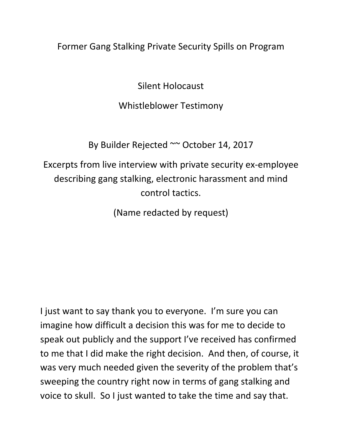### Former Gang Stalking Private Security Spills on Program

Silent Holocaust

#### Whistleblower Testimony

By Builder Rejected ~~ October 14, 2017

Excerpts from live interview with private security ex-employee describing gang stalking, electronic harassment and mind control tactics.

(Name redacted by request)

I just want to say thank you to everyone. I'm sure you can imagine how difficult a decision this was for me to decide to speak out publicly and the support I've received has confirmed to me that I did make the right decision. And then, of course, it was very much needed given the severity of the problem that's sweeping the country right now in terms of gang stalking and voice to skull. So I just wanted to take the time and say that.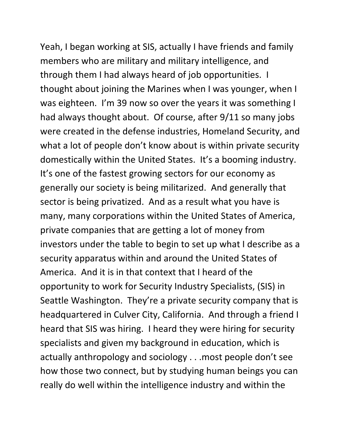Yeah, I began working at SIS, actually I have friends and family members who are military and military intelligence, and through them I had always heard of job opportunities. I thought about joining the Marines when I was younger, when I was eighteen. I'm 39 now so over the years it was something I had always thought about. Of course, after 9/11 so many jobs were created in the defense industries, Homeland Security, and what a lot of people don't know about is within private security domestically within the United States. It's a booming industry. It's one of the fastest growing sectors for our economy as generally our society is being militarized. And generally that sector is being privatized. And as a result what you have is many, many corporations within the United States of America, private companies that are getting a lot of money from investors under the table to begin to set up what I describe as a security apparatus within and around the United States of America. And it is in that context that I heard of the opportunity to work for Security Industry Specialists, (SIS) in Seattle Washington. They're a private security company that is headquartered in Culver City, California. And through a friend I heard that SIS was hiring. I heard they were hiring for security specialists and given my background in education, which is actually anthropology and sociology . . .most people don't see how those two connect, but by studying human beings you can really do well within the intelligence industry and within the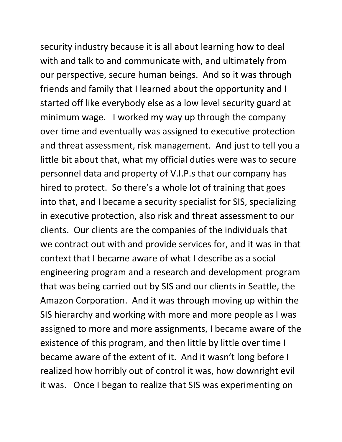security industry because it is all about learning how to deal with and talk to and communicate with, and ultimately from our perspective, secure human beings. And so it was through friends and family that I learned about the opportunity and I started off like everybody else as a low level security guard at minimum wage. I worked my way up through the company over time and eventually was assigned to executive protection and threat assessment, risk management. And just to tell you a little bit about that, what my official duties were was to secure personnel data and property of V.I.P.s that our company has hired to protect. So there's a whole lot of training that goes into that, and I became a security specialist for SIS, specializing in executive protection, also risk and threat assessment to our clients. Our clients are the companies of the individuals that we contract out with and provide services for, and it was in that context that I became aware of what I describe as a social engineering program and a research and development program that was being carried out by SIS and our clients in Seattle, the Amazon Corporation. And it was through moving up within the SIS hierarchy and working with more and more people as I was assigned to more and more assignments, I became aware of the existence of this program, and then little by little over time I became aware of the extent of it. And it wasn't long before I realized how horribly out of control it was, how downright evil it was. Once I began to realize that SIS was experimenting on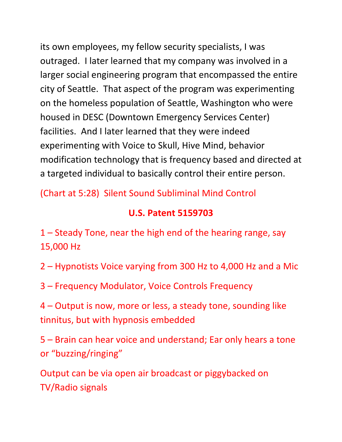its own employees, my fellow security specialists, I was outraged. I later learned that my company was involved in a larger social engineering program that encompassed the entire city of Seattle. That aspect of the program was experimenting on the homeless population of Seattle, Washington who were housed in DESC (Downtown Emergency Services Center) facilities. And I later learned that they were indeed experimenting with Voice to Skull, Hive Mind, behavior modification technology that is frequency based and directed at a targeted individual to basically control their entire person.

(Chart at 5:28) Silent Sound Subliminal Mind Control

## **U.S. Patent 5159703**

1 – Steady Tone, near the high end of the hearing range, say 15,000 Hz

2 – Hypnotists Voice varying from 300 Hz to 4,000 Hz and a Mic

3 – Frequency Modulator, Voice Controls Frequency

4 – Output is now, more or less, a steady tone, sounding like tinnitus, but with hypnosis embedded

5 – Brain can hear voice and understand; Ear only hears a tone or "buzzing/ringing"

Output can be via open air broadcast or piggybacked on TV/Radio signals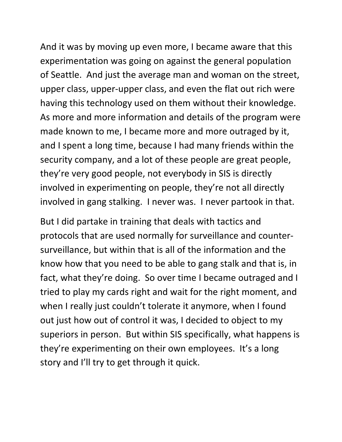And it was by moving up even more, I became aware that this experimentation was going on against the general population of Seattle. And just the average man and woman on the street, upper class, upper-upper class, and even the flat out rich were having this technology used on them without their knowledge. As more and more information and details of the program were made known to me, I became more and more outraged by it, and I spent a long time, because I had many friends within the security company, and a lot of these people are great people, they're very good people, not everybody in SIS is directly involved in experimenting on people, they're not all directly involved in gang stalking. I never was. I never partook in that.

But I did partake in training that deals with tactics and protocols that are used normally for surveillance and countersurveillance, but within that is all of the information and the know how that you need to be able to gang stalk and that is, in fact, what they're doing. So over time I became outraged and I tried to play my cards right and wait for the right moment, and when I really just couldn't tolerate it anymore, when I found out just how out of control it was, I decided to object to my superiors in person. But within SIS specifically, what happens is they're experimenting on their own employees. It's a long story and I'll try to get through it quick.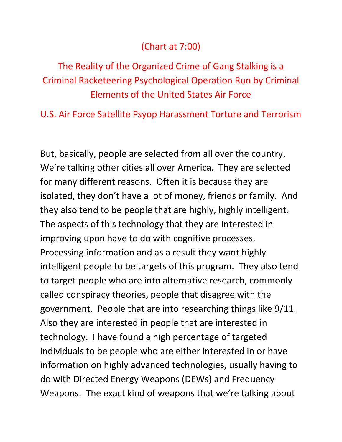## (Chart at 7:00)

# The Reality of the Organized Crime of Gang Stalking is a Criminal Racketeering Psychological Operation Run by Criminal Elements of the United States Air Force

U.S. Air Force Satellite Psyop Harassment Torture and Terrorism

But, basically, people are selected from all over the country. We're talking other cities all over America. They are selected for many different reasons. Often it is because they are isolated, they don't have a lot of money, friends or family. And they also tend to be people that are highly, highly intelligent. The aspects of this technology that they are interested in improving upon have to do with cognitive processes. Processing information and as a result they want highly intelligent people to be targets of this program. They also tend to target people who are into alternative research, commonly called conspiracy theories, people that disagree with the government. People that are into researching things like 9/11. Also they are interested in people that are interested in technology. I have found a high percentage of targeted individuals to be people who are either interested in or have information on highly advanced technologies, usually having to do with Directed Energy Weapons (DEWs) and Frequency Weapons. The exact kind of weapons that we're talking about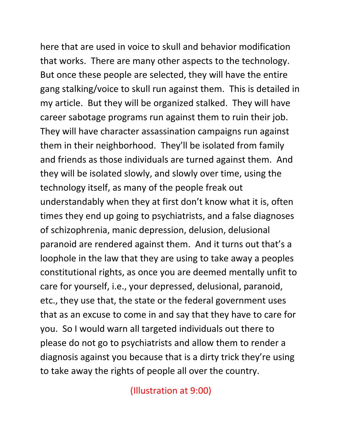here that are used in voice to skull and behavior modification that works. There are many other aspects to the technology. But once these people are selected, they will have the entire gang stalking/voice to skull run against them. This is detailed in my article. But they will be organized stalked. They will have career sabotage programs run against them to ruin their job. They will have character assassination campaigns run against them in their neighborhood. They'll be isolated from family and friends as those individuals are turned against them. And they will be isolated slowly, and slowly over time, using the technology itself, as many of the people freak out understandably when they at first don't know what it is, often times they end up going to psychiatrists, and a false diagnoses of schizophrenia, manic depression, delusion, delusional paranoid are rendered against them. And it turns out that's a loophole in the law that they are using to take away a peoples constitutional rights, as once you are deemed mentally unfit to care for yourself, i.e., your depressed, delusional, paranoid, etc., they use that, the state or the federal government uses that as an excuse to come in and say that they have to care for you. So I would warn all targeted individuals out there to please do not go to psychiatrists and allow them to render a diagnosis against you because that is a dirty trick they're using to take away the rights of people all over the country.

(Illustration at 9:00)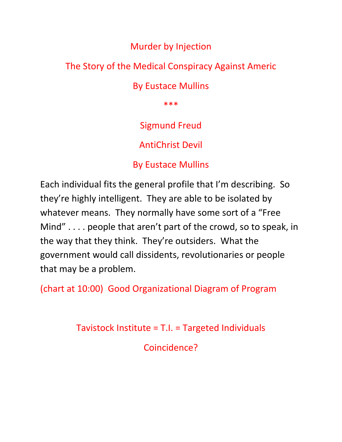### Murder by Injection

## The Story of the Medical Conspiracy Against Americ

### By Eustace Mullins

\*\*\*

## Sigmund Freud

AntiChrist Devil

### By Eustace Mullins

Each individual fits the general profile that I'm describing. So they're highly intelligent. They are able to be isolated by whatever means. They normally have some sort of a "Free Mind" . . . . people that aren't part of the crowd, so to speak, in the way that they think. They're outsiders. What the government would call dissidents, revolutionaries or people that may be a problem.

(chart at 10:00) Good Organizational Diagram of Program

Tavistock Institute = T.I. = Targeted Individuals

Coincidence?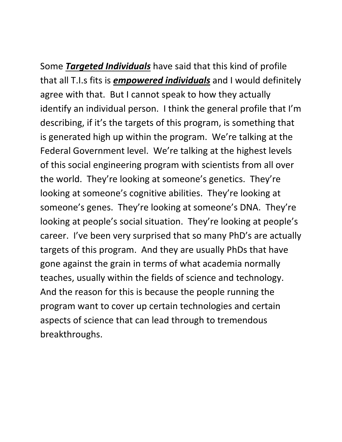Some *Targeted Individuals* have said that this kind of profile that all T.I.s fits is *empowered individuals* and I would definitely agree with that. But I cannot speak to how they actually identify an individual person. I think the general profile that I'm describing, if it's the targets of this program, is something that is generated high up within the program. We're talking at the Federal Government level. We're talking at the highest levels of this social engineering program with scientists from all over the world. They're looking at someone's genetics. They're looking at someone's cognitive abilities. They're looking at someone's genes. They're looking at someone's DNA. They're looking at people's social situation. They're looking at people's career. I've been very surprised that so many PhD's are actually targets of this program. And they are usually PhDs that have gone against the grain in terms of what academia normally teaches, usually within the fields of science and technology. And the reason for this is because the people running the program want to cover up certain technologies and certain aspects of science that can lead through to tremendous breakthroughs.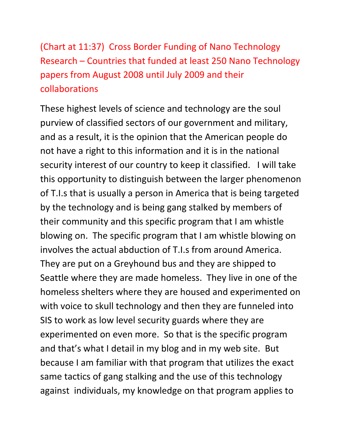(Chart at 11:37) Cross Border Funding of Nano Technology Research – Countries that funded at least 250 Nano Technology papers from August 2008 until July 2009 and their collaborations

These highest levels of science and technology are the soul purview of classified sectors of our government and military, and as a result, it is the opinion that the American people do not have a right to this information and it is in the national security interest of our country to keep it classified. I will take this opportunity to distinguish between the larger phenomenon of T.I.s that is usually a person in America that is being targeted by the technology and is being gang stalked by members of their community and this specific program that I am whistle blowing on. The specific program that I am whistle blowing on involves the actual abduction of T.I.s from around America. They are put on a Greyhound bus and they are shipped to Seattle where they are made homeless. They live in one of the homeless shelters where they are housed and experimented on with voice to skull technology and then they are funneled into SIS to work as low level security guards where they are experimented on even more. So that is the specific program and that's what I detail in my blog and in my web site. But because I am familiar with that program that utilizes the exact same tactics of gang stalking and the use of this technology against individuals, my knowledge on that program applies to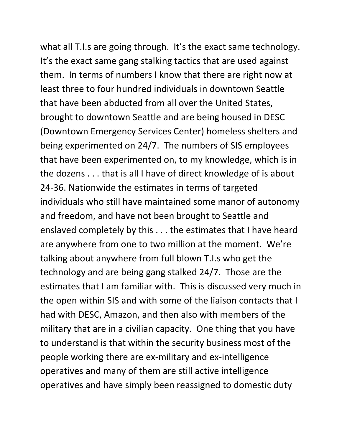what all T.I.s are going through. It's the exact same technology. It's the exact same gang stalking tactics that are used against them. In terms of numbers I know that there are right now at least three to four hundred individuals in downtown Seattle that have been abducted from all over the United States, brought to downtown Seattle and are being housed in DESC (Downtown Emergency Services Center) homeless shelters and being experimented on 24/7. The numbers of SIS employees that have been experimented on, to my knowledge, which is in the dozens . . . that is all I have of direct knowledge of is about 24-36. Nationwide the estimates in terms of targeted individuals who still have maintained some manor of autonomy and freedom, and have not been brought to Seattle and enslaved completely by this . . . the estimates that I have heard are anywhere from one to two million at the moment. We're talking about anywhere from full blown T.I.s who get the technology and are being gang stalked 24/7. Those are the estimates that I am familiar with. This is discussed very much in the open within SIS and with some of the liaison contacts that I had with DESC, Amazon, and then also with members of the military that are in a civilian capacity. One thing that you have to understand is that within the security business most of the people working there are ex-military and ex-intelligence operatives and many of them are still active intelligence operatives and have simply been reassigned to domestic duty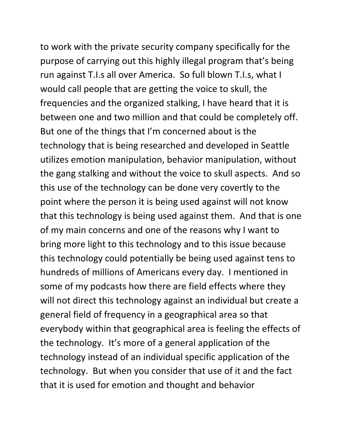to work with the private security company specifically for the purpose of carrying out this highly illegal program that's being run against T.I.s all over America. So full blown T.I.s, what I would call people that are getting the voice to skull, the frequencies and the organized stalking, I have heard that it is between one and two million and that could be completely off. But one of the things that I'm concerned about is the technology that is being researched and developed in Seattle utilizes emotion manipulation, behavior manipulation, without the gang stalking and without the voice to skull aspects. And so this use of the technology can be done very covertly to the point where the person it is being used against will not know that this technology is being used against them. And that is one of my main concerns and one of the reasons why I want to bring more light to this technology and to this issue because this technology could potentially be being used against tens to hundreds of millions of Americans every day. I mentioned in some of my podcasts how there are field effects where they will not direct this technology against an individual but create a general field of frequency in a geographical area so that everybody within that geographical area is feeling the effects of the technology. It's more of a general application of the technology instead of an individual specific application of the technology. But when you consider that use of it and the fact that it is used for emotion and thought and behavior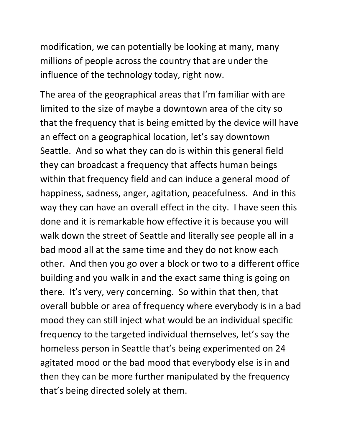modification, we can potentially be looking at many, many millions of people across the country that are under the influence of the technology today, right now.

The area of the geographical areas that I'm familiar with are limited to the size of maybe a downtown area of the city so that the frequency that is being emitted by the device will have an effect on a geographical location, let's say downtown Seattle. And so what they can do is within this general field they can broadcast a frequency that affects human beings within that frequency field and can induce a general mood of happiness, sadness, anger, agitation, peacefulness. And in this way they can have an overall effect in the city. I have seen this done and it is remarkable how effective it is because you will walk down the street of Seattle and literally see people all in a bad mood all at the same time and they do not know each other. And then you go over a block or two to a different office building and you walk in and the exact same thing is going on there. It's very, very concerning. So within that then, that overall bubble or area of frequency where everybody is in a bad mood they can still inject what would be an individual specific frequency to the targeted individual themselves, let's say the homeless person in Seattle that's being experimented on 24 agitated mood or the bad mood that everybody else is in and then they can be more further manipulated by the frequency that's being directed solely at them.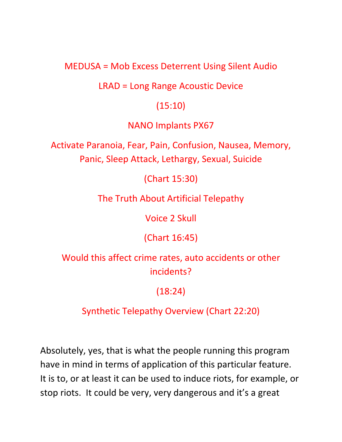MEDUSA = Mob Excess Deterrent Using Silent Audio

LRAD = Long Range Acoustic Device

#### (15:10)

NANO Implants PX67

Activate Paranoia, Fear, Pain, Confusion, Nausea, Memory, Panic, Sleep Attack, Lethargy, Sexual, Suicide

(Chart 15:30)

The Truth About Artificial Telepathy

Voice 2 Skull

(Chart 16:45)

Would this affect crime rates, auto accidents or other incidents?

(18:24)

Synthetic Telepathy Overview (Chart 22:20)

Absolutely, yes, that is what the people running this program have in mind in terms of application of this particular feature. It is to, or at least it can be used to induce riots, for example, or stop riots. It could be very, very dangerous and it's a great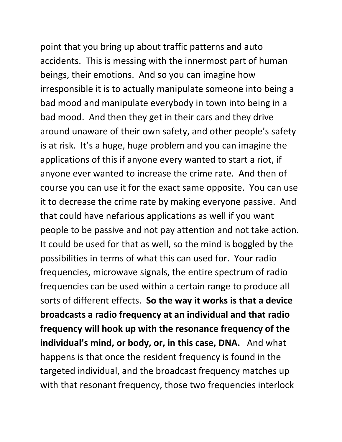point that you bring up about traffic patterns and auto accidents. This is messing with the innermost part of human beings, their emotions. And so you can imagine how irresponsible it is to actually manipulate someone into being a bad mood and manipulate everybody in town into being in a bad mood. And then they get in their cars and they drive around unaware of their own safety, and other people's safety is at risk. It's a huge, huge problem and you can imagine the applications of this if anyone every wanted to start a riot, if anyone ever wanted to increase the crime rate. And then of course you can use it for the exact same opposite. You can use it to decrease the crime rate by making everyone passive. And that could have nefarious applications as well if you want people to be passive and not pay attention and not take action. It could be used for that as well, so the mind is boggled by the possibilities in terms of what this can used for. Your radio frequencies, microwave signals, the entire spectrum of radio frequencies can be used within a certain range to produce all sorts of different effects. **So the way it works is that a device broadcasts a radio frequency at an individual and that radio frequency will hook up with the resonance frequency of the individual's mind, or body, or, in this case, DNA.** And what happens is that once the resident frequency is found in the targeted individual, and the broadcast frequency matches up with that resonant frequency, those two frequencies interlock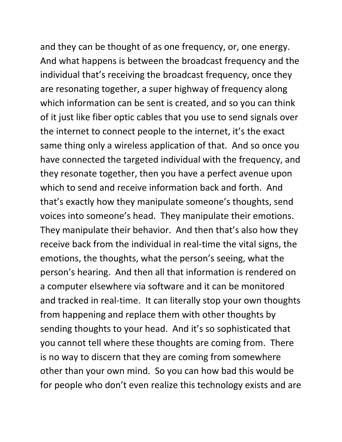and they can be thought of as one frequency, or, one energy. And what happens is between the broadcast frequency and the individual that's receiving the broadcast frequency, once they are resonating together, a super highway of frequency along which information can be sent is created, and so you can think of it just like fiber optic cables that you use to send signals over the internet to connect people to the internet, it's the exact same thing only a wireless application of that. And so once you have connected the targeted individual with the frequency, and they resonate together, then you have a perfect avenue upon which to send and receive information back and forth. And that's exactly how they manipulate someone's thoughts, send voices into someone's head. They manipulate their emotions. They manipulate their behavior. And then that's also how they receive back from the individual in real-time the vital signs, the emotions, the thoughts, what the person's seeing, what the person's hearing. And then all that information is rendered on a computer elsewhere via software and it can be monitored and tracked in real-time. It can literally stop your own thoughts from happening and replace them with other thoughts by sending thoughts to your head. And it's so sophisticated that you cannot tell where these thoughts are coming from. There is no way to discern that they are coming from somewhere other than your own mind. So you can how bad this would be for people who don't even realize this technology exists and are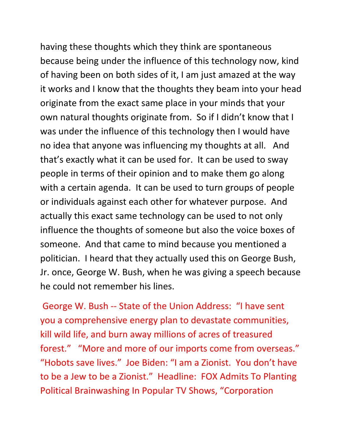having these thoughts which they think are spontaneous because being under the influence of this technology now, kind of having been on both sides of it, I am just amazed at the way it works and I know that the thoughts they beam into your head originate from the exact same place in your minds that your own natural thoughts originate from. So if I didn't know that I was under the influence of this technology then I would have no idea that anyone was influencing my thoughts at all. And that's exactly what it can be used for. It can be used to sway people in terms of their opinion and to make them go along with a certain agenda. It can be used to turn groups of people or individuals against each other for whatever purpose. And actually this exact same technology can be used to not only influence the thoughts of someone but also the voice boxes of someone. And that came to mind because you mentioned a politician. I heard that they actually used this on George Bush, Jr. once, George W. Bush, when he was giving a speech because he could not remember his lines.

George W. Bush -- State of the Union Address: "I have sent you a comprehensive energy plan to devastate communities, kill wild life, and burn away millions of acres of treasured forest." "More and more of our imports come from overseas." "Hobots save lives." Joe Biden: "I am a Zionist. You don't have to be a Jew to be a Zionist." Headline: FOX Admits To Planting Political Brainwashing In Popular TV Shows, "Corporation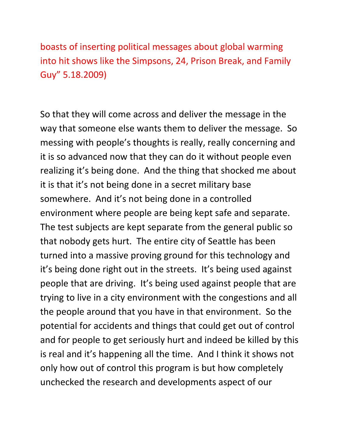boasts of inserting political messages about global warming into hit shows like the Simpsons, 24, Prison Break, and Family Guy" 5.18.2009)

So that they will come across and deliver the message in the way that someone else wants them to deliver the message. So messing with people's thoughts is really, really concerning and it is so advanced now that they can do it without people even realizing it's being done. And the thing that shocked me about it is that it's not being done in a secret military base somewhere. And it's not being done in a controlled environment where people are being kept safe and separate. The test subjects are kept separate from the general public so that nobody gets hurt. The entire city of Seattle has been turned into a massive proving ground for this technology and it's being done right out in the streets. It's being used against people that are driving. It's being used against people that are trying to live in a city environment with the congestions and all the people around that you have in that environment. So the potential for accidents and things that could get out of control and for people to get seriously hurt and indeed be killed by this is real and it's happening all the time. And I think it shows not only how out of control this program is but how completely unchecked the research and developments aspect of our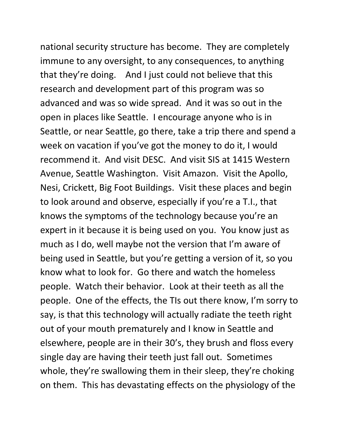national security structure has become. They are completely immune to any oversight, to any consequences, to anything that they're doing. And I just could not believe that this research and development part of this program was so advanced and was so wide spread. And it was so out in the open in places like Seattle. I encourage anyone who is in Seattle, or near Seattle, go there, take a trip there and spend a week on vacation if you've got the money to do it, I would recommend it. And visit DESC. And visit SIS at 1415 Western Avenue, Seattle Washington. Visit Amazon. Visit the Apollo, Nesi, Crickett, Big Foot Buildings. Visit these places and begin to look around and observe, especially if you're a T.I., that knows the symptoms of the technology because you're an expert in it because it is being used on you. You know just as much as I do, well maybe not the version that I'm aware of being used in Seattle, but you're getting a version of it, so you know what to look for. Go there and watch the homeless people. Watch their behavior. Look at their teeth as all the people. One of the effects, the TIs out there know, I'm sorry to say, is that this technology will actually radiate the teeth right out of your mouth prematurely and I know in Seattle and elsewhere, people are in their 30's, they brush and floss every single day are having their teeth just fall out. Sometimes whole, they're swallowing them in their sleep, they're choking on them. This has devastating effects on the physiology of the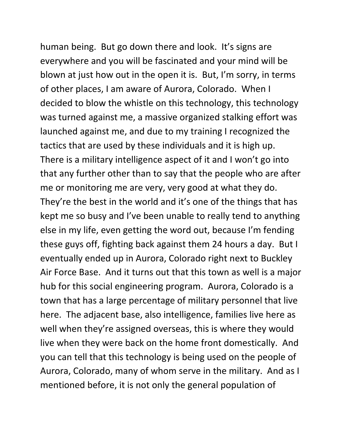human being. But go down there and look. It's signs are everywhere and you will be fascinated and your mind will be blown at just how out in the open it is. But, I'm sorry, in terms of other places, I am aware of Aurora, Colorado. When I decided to blow the whistle on this technology, this technology was turned against me, a massive organized stalking effort was launched against me, and due to my training I recognized the tactics that are used by these individuals and it is high up. There is a military intelligence aspect of it and I won't go into that any further other than to say that the people who are after me or monitoring me are very, very good at what they do. They're the best in the world and it's one of the things that has kept me so busy and I've been unable to really tend to anything else in my life, even getting the word out, because I'm fending these guys off, fighting back against them 24 hours a day. But I eventually ended up in Aurora, Colorado right next to Buckley Air Force Base. And it turns out that this town as well is a major hub for this social engineering program. Aurora, Colorado is a town that has a large percentage of military personnel that live here. The adjacent base, also intelligence, families live here as well when they're assigned overseas, this is where they would live when they were back on the home front domestically. And you can tell that this technology is being used on the people of Aurora, Colorado, many of whom serve in the military. And as I mentioned before, it is not only the general population of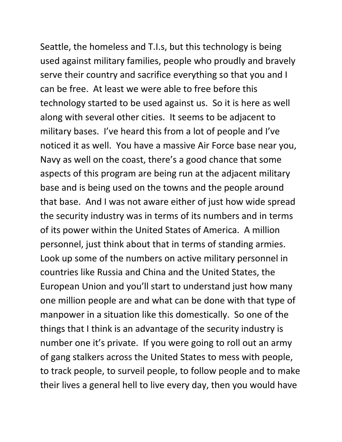Seattle, the homeless and T.I.s, but this technology is being used against military families, people who proudly and bravely serve their country and sacrifice everything so that you and I can be free. At least we were able to free before this technology started to be used against us. So it is here as well along with several other cities. It seems to be adjacent to military bases. I've heard this from a lot of people and I've noticed it as well. You have a massive Air Force base near you, Navy as well on the coast, there's a good chance that some aspects of this program are being run at the adjacent military base and is being used on the towns and the people around that base. And I was not aware either of just how wide spread the security industry was in terms of its numbers and in terms of its power within the United States of America. A million personnel, just think about that in terms of standing armies. Look up some of the numbers on active military personnel in countries like Russia and China and the United States, the European Union and you'll start to understand just how many one million people are and what can be done with that type of manpower in a situation like this domestically. So one of the things that I think is an advantage of the security industry is number one it's private. If you were going to roll out an army of gang stalkers across the United States to mess with people, to track people, to surveil people, to follow people and to make their lives a general hell to live every day, then you would have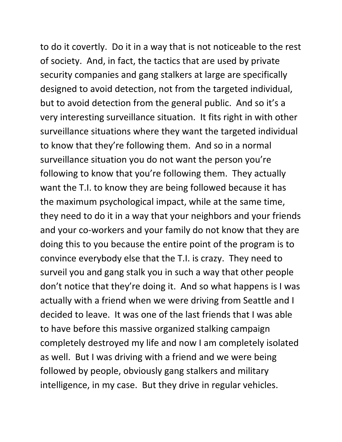to do it covertly. Do it in a way that is not noticeable to the rest of society. And, in fact, the tactics that are used by private security companies and gang stalkers at large are specifically designed to avoid detection, not from the targeted individual, but to avoid detection from the general public. And so it's a very interesting surveillance situation. It fits right in with other surveillance situations where they want the targeted individual to know that they're following them. And so in a normal surveillance situation you do not want the person you're following to know that you're following them. They actually want the T.I. to know they are being followed because it has the maximum psychological impact, while at the same time, they need to do it in a way that your neighbors and your friends and your co-workers and your family do not know that they are doing this to you because the entire point of the program is to convince everybody else that the T.I. is crazy. They need to surveil you and gang stalk you in such a way that other people don't notice that they're doing it. And so what happens is I was actually with a friend when we were driving from Seattle and I decided to leave. It was one of the last friends that I was able to have before this massive organized stalking campaign completely destroyed my life and now I am completely isolated as well. But I was driving with a friend and we were being followed by people, obviously gang stalkers and military intelligence, in my case. But they drive in regular vehicles.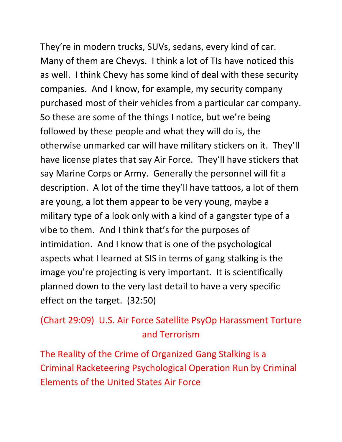They're in modern trucks, SUVs, sedans, every kind of car. Many of them are Chevys. I think a lot of TIs have noticed this as well. I think Chevy has some kind of deal with these security companies. And I know, for example, my security company purchased most of their vehicles from a particular car company. So these are some of the things I notice, but we're being followed by these people and what they will do is, the otherwise unmarked car will have military stickers on it. They'll have license plates that say Air Force. They'll have stickers that say Marine Corps or Army. Generally the personnel will fit a description. A lot of the time they'll have tattoos, a lot of them are young, a lot them appear to be very young, maybe a military type of a look only with a kind of a gangster type of a vibe to them. And I think that's for the purposes of intimidation. And I know that is one of the psychological aspects what I learned at SIS in terms of gang stalking is the image you're projecting is very important. It is scientifically planned down to the very last detail to have a very specific effect on the target. (32:50)

## (Chart 29:09) U.S. Air Force Satellite PsyOp Harassment Torture and Terrorism

The Reality of the Crime of Organized Gang Stalking is a Criminal Racketeering Psychological Operation Run by Criminal Elements of the United States Air Force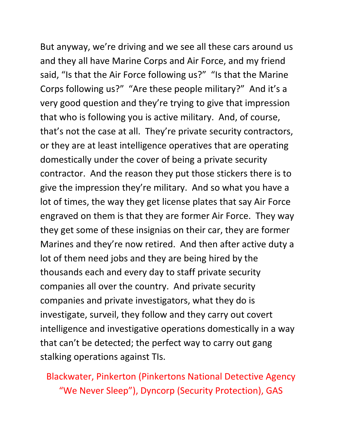But anyway, we're driving and we see all these cars around us and they all have Marine Corps and Air Force, and my friend said, "Is that the Air Force following us?" "Is that the Marine Corps following us?" "Are these people military?" And it's a very good question and they're trying to give that impression that who is following you is active military. And, of course, that's not the case at all. They're private security contractors, or they are at least intelligence operatives that are operating domestically under the cover of being a private security contractor. And the reason they put those stickers there is to give the impression they're military. And so what you have a lot of times, the way they get license plates that say Air Force engraved on them is that they are former Air Force. They way they get some of these insignias on their car, they are former Marines and they're now retired. And then after active duty a lot of them need jobs and they are being hired by the thousands each and every day to staff private security companies all over the country. And private security companies and private investigators, what they do is investigate, surveil, they follow and they carry out covert intelligence and investigative operations domestically in a way that can't be detected; the perfect way to carry out gang stalking operations against TIs.

Blackwater, Pinkerton (Pinkertons National Detective Agency "We Never Sleep"), Dyncorp (Security Protection), GAS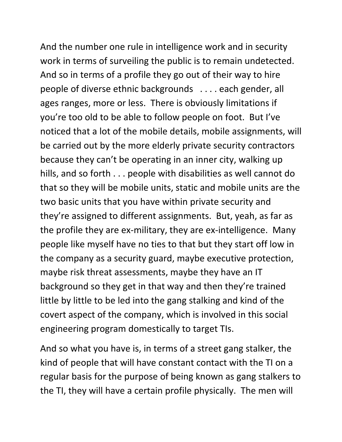And the number one rule in intelligence work and in security work in terms of surveiling the public is to remain undetected. And so in terms of a profile they go out of their way to hire people of diverse ethnic backgrounds . . . . each gender, all ages ranges, more or less. There is obviously limitations if you're too old to be able to follow people on foot. But I've noticed that a lot of the mobile details, mobile assignments, will be carried out by the more elderly private security contractors because they can't be operating in an inner city, walking up hills, and so forth . . . people with disabilities as well cannot do that so they will be mobile units, static and mobile units are the two basic units that you have within private security and they're assigned to different assignments. But, yeah, as far as the profile they are ex-military, they are ex-intelligence. Many people like myself have no ties to that but they start off low in the company as a security guard, maybe executive protection, maybe risk threat assessments, maybe they have an IT background so they get in that way and then they're trained little by little to be led into the gang stalking and kind of the covert aspect of the company, which is involved in this social engineering program domestically to target TIs.

And so what you have is, in terms of a street gang stalker, the kind of people that will have constant contact with the TI on a regular basis for the purpose of being known as gang stalkers to the TI, they will have a certain profile physically. The men will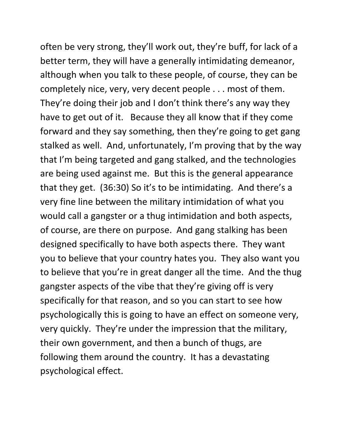often be very strong, they'll work out, they're buff, for lack of a better term, they will have a generally intimidating demeanor, although when you talk to these people, of course, they can be completely nice, very, very decent people . . . most of them. They're doing their job and I don't think there's any way they have to get out of it. Because they all know that if they come forward and they say something, then they're going to get gang stalked as well. And, unfortunately, I'm proving that by the way that I'm being targeted and gang stalked, and the technologies are being used against me. But this is the general appearance that they get. (36:30) So it's to be intimidating. And there's a very fine line between the military intimidation of what you would call a gangster or a thug intimidation and both aspects, of course, are there on purpose. And gang stalking has been designed specifically to have both aspects there. They want you to believe that your country hates you. They also want you to believe that you're in great danger all the time. And the thug gangster aspects of the vibe that they're giving off is very specifically for that reason, and so you can start to see how psychologically this is going to have an effect on someone very, very quickly. They're under the impression that the military, their own government, and then a bunch of thugs, are following them around the country. It has a devastating psychological effect.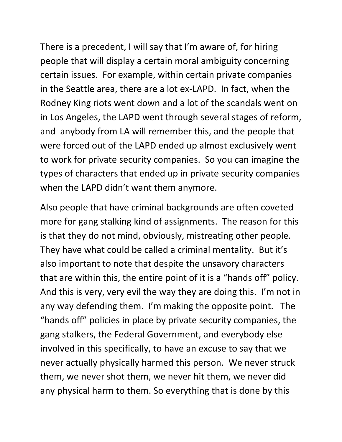There is a precedent, I will say that I'm aware of, for hiring people that will display a certain moral ambiguity concerning certain issues. For example, within certain private companies in the Seattle area, there are a lot ex-LAPD. In fact, when the Rodney King riots went down and a lot of the scandals went on in Los Angeles, the LAPD went through several stages of reform, and anybody from LA will remember this, and the people that were forced out of the LAPD ended up almost exclusively went to work for private security companies. So you can imagine the types of characters that ended up in private security companies when the LAPD didn't want them anymore.

Also people that have criminal backgrounds are often coveted more for gang stalking kind of assignments. The reason for this is that they do not mind, obviously, mistreating other people. They have what could be called a criminal mentality. But it's also important to note that despite the unsavory characters that are within this, the entire point of it is a "hands off" policy. And this is very, very evil the way they are doing this. I'm not in any way defending them. I'm making the opposite point. The "hands off" policies in place by private security companies, the gang stalkers, the Federal Government, and everybody else involved in this specifically, to have an excuse to say that we never actually physically harmed this person. We never struck them, we never shot them, we never hit them, we never did any physical harm to them. So everything that is done by this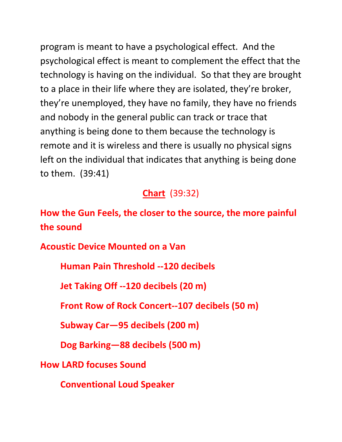program is meant to have a psychological effect. And the psychological effect is meant to complement the effect that the technology is having on the individual. So that they are brought to a place in their life where they are isolated, they're broker, they're unemployed, they have no family, they have no friends and nobody in the general public can track or trace that anything is being done to them because the technology is remote and it is wireless and there is usually no physical signs left on the individual that indicates that anything is being done to them. (39:41)

### **Chart** (39:32)

**How the Gun Feels, the closer to the source, the more painful the sound**

**Acoustic Device Mounted on a Van**

**Human Pain Threshold --120 decibels**

**Jet Taking Off --120 decibels (20 m)**

**Front Row of Rock Concert--107 decibels (50 m)**

**Subway Car—95 decibels (200 m)**

**Dog Barking—88 decibels (500 m)**

**How LARD focuses Sound**

**Conventional Loud Speaker**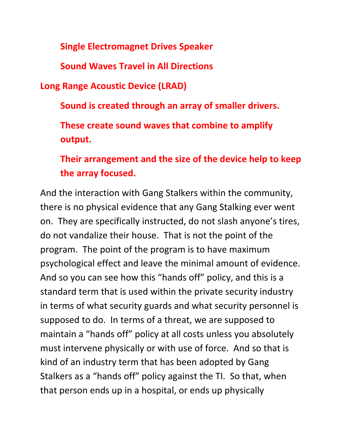**Single Electromagnet Drives Speaker**

**Sound Waves Travel in All Directions**

**Long Range Acoustic Device (LRAD)**

**Sound is created through an array of smaller drivers.**

**These create sound waves that combine to amplify output.**

**Their arrangement and the size of the device help to keep the array focused.**

And the interaction with Gang Stalkers within the community, there is no physical evidence that any Gang Stalking ever went on. They are specifically instructed, do not slash anyone's tires, do not vandalize their house. That is not the point of the program. The point of the program is to have maximum psychological effect and leave the minimal amount of evidence. And so you can see how this "hands off" policy, and this is a standard term that is used within the private security industry in terms of what security guards and what security personnel is supposed to do. In terms of a threat, we are supposed to maintain a "hands off" policy at all costs unless you absolutely must intervene physically or with use of force. And so that is kind of an industry term that has been adopted by Gang Stalkers as a "hands off" policy against the TI. So that, when that person ends up in a hospital, or ends up physically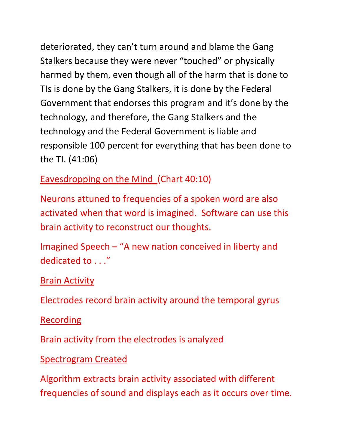deteriorated, they can't turn around and blame the Gang Stalkers because they were never "touched" or physically harmed by them, even though all of the harm that is done to TIs is done by the Gang Stalkers, it is done by the Federal Government that endorses this program and it's done by the technology, and therefore, the Gang Stalkers and the technology and the Federal Government is liable and responsible 100 percent for everything that has been done to the TI. (41:06)

Eavesdropping on the Mind (Chart 40:10)

Neurons attuned to frequencies of a spoken word are also activated when that word is imagined. Software can use this brain activity to reconstruct our thoughts.

Imagined Speech – "A new nation conceived in liberty and dedicated to . . ."

**Brain Activity** 

Electrodes record brain activity around the temporal gyrus

Recording

Brain activity from the electrodes is analyzed

Spectrogram Created

Algorithm extracts brain activity associated with different frequencies of sound and displays each as it occurs over time.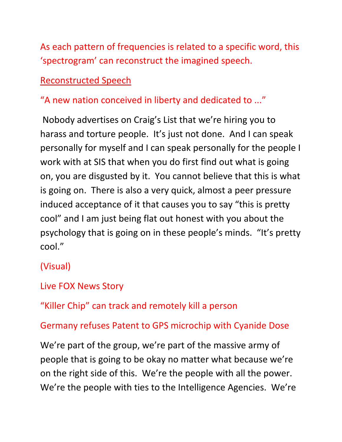As each pattern of frequencies is related to a specific word, this 'spectrogram' can reconstruct the imagined speech.

### Reconstructed Speech

## "A new nation conceived in liberty and dedicated to ..."

Nobody advertises on Craig's List that we're hiring you to harass and torture people. It's just not done. And I can speak personally for myself and I can speak personally for the people I work with at SIS that when you do first find out what is going on, you are disgusted by it. You cannot believe that this is what is going on. There is also a very quick, almost a peer pressure induced acceptance of it that causes you to say "this is pretty cool" and I am just being flat out honest with you about the psychology that is going on in these people's minds. "It's pretty cool."

## (Visual)

## Live FOX News Story

"Killer Chip" can track and remotely kill a person

Germany refuses Patent to GPS microchip with Cyanide Dose

We're part of the group, we're part of the massive army of people that is going to be okay no matter what because we're on the right side of this. We're the people with all the power. We're the people with ties to the Intelligence Agencies. We're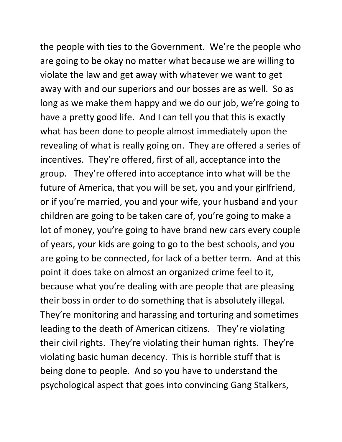the people with ties to the Government. We're the people who are going to be okay no matter what because we are willing to violate the law and get away with whatever we want to get away with and our superiors and our bosses are as well. So as long as we make them happy and we do our job, we're going to have a pretty good life. And I can tell you that this is exactly what has been done to people almost immediately upon the revealing of what is really going on. They are offered a series of incentives. They're offered, first of all, acceptance into the group. They're offered into acceptance into what will be the future of America, that you will be set, you and your girlfriend, or if you're married, you and your wife, your husband and your children are going to be taken care of, you're going to make a lot of money, you're going to have brand new cars every couple of years, your kids are going to go to the best schools, and you are going to be connected, for lack of a better term. And at this point it does take on almost an organized crime feel to it, because what you're dealing with are people that are pleasing their boss in order to do something that is absolutely illegal. They're monitoring and harassing and torturing and sometimes leading to the death of American citizens. They're violating their civil rights. They're violating their human rights. They're violating basic human decency. This is horrible stuff that is being done to people. And so you have to understand the psychological aspect that goes into convincing Gang Stalkers,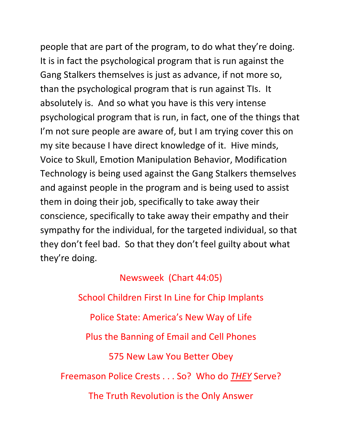people that are part of the program, to do what they're doing. It is in fact the psychological program that is run against the Gang Stalkers themselves is just as advance, if not more so, than the psychological program that is run against TIs. It absolutely is. And so what you have is this very intense psychological program that is run, in fact, one of the things that I'm not sure people are aware of, but I am trying cover this on my site because I have direct knowledge of it. Hive minds, Voice to Skull, Emotion Manipulation Behavior, Modification Technology is being used against the Gang Stalkers themselves and against people in the program and is being used to assist them in doing their job, specifically to take away their conscience, specifically to take away their empathy and their sympathy for the individual, for the targeted individual, so that they don't feel bad. So that they don't feel guilty about what they're doing.

Newsweek (Chart 44:05) School Children First In Line for Chip Implants Police State: America's New Way of Life Plus the Banning of Email and Cell Phones 575 New Law You Better Obey Freemason Police Crests . . . So? Who do *THEY* Serve? The Truth Revolution is the Only Answer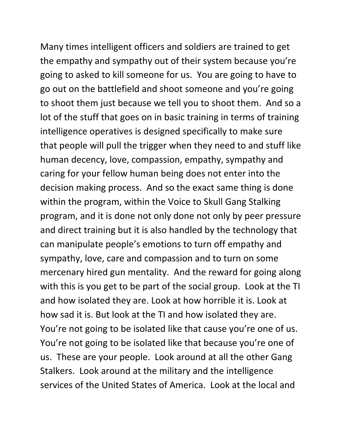Many times intelligent officers and soldiers are trained to get the empathy and sympathy out of their system because you're going to asked to kill someone for us. You are going to have to go out on the battlefield and shoot someone and you're going to shoot them just because we tell you to shoot them. And so a lot of the stuff that goes on in basic training in terms of training intelligence operatives is designed specifically to make sure that people will pull the trigger when they need to and stuff like human decency, love, compassion, empathy, sympathy and caring for your fellow human being does not enter into the decision making process. And so the exact same thing is done within the program, within the Voice to Skull Gang Stalking program, and it is done not only done not only by peer pressure and direct training but it is also handled by the technology that can manipulate people's emotions to turn off empathy and sympathy, love, care and compassion and to turn on some mercenary hired gun mentality. And the reward for going along with this is you get to be part of the social group. Look at the TI and how isolated they are. Look at how horrible it is. Look at how sad it is. But look at the TI and how isolated they are. You're not going to be isolated like that cause you're one of us. You're not going to be isolated like that because you're one of us. These are your people. Look around at all the other Gang Stalkers. Look around at the military and the intelligence services of the United States of America. Look at the local and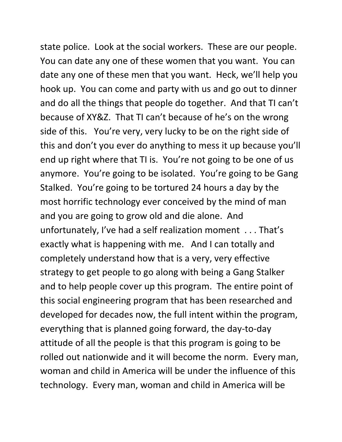state police. Look at the social workers. These are our people. You can date any one of these women that you want. You can date any one of these men that you want. Heck, we'll help you hook up. You can come and party with us and go out to dinner and do all the things that people do together. And that TI can't because of XY&Z. That TI can't because of he's on the wrong side of this. You're very, very lucky to be on the right side of this and don't you ever do anything to mess it up because you'll end up right where that TI is. You're not going to be one of us anymore. You're going to be isolated. You're going to be Gang Stalked. You're going to be tortured 24 hours a day by the most horrific technology ever conceived by the mind of man and you are going to grow old and die alone. And unfortunately, I've had a self realization moment . . . That's exactly what is happening with me. And I can totally and completely understand how that is a very, very effective strategy to get people to go along with being a Gang Stalker and to help people cover up this program. The entire point of this social engineering program that has been researched and developed for decades now, the full intent within the program, everything that is planned going forward, the day-to-day attitude of all the people is that this program is going to be rolled out nationwide and it will become the norm. Every man, woman and child in America will be under the influence of this technology. Every man, woman and child in America will be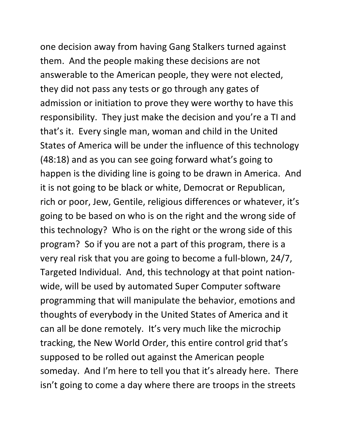one decision away from having Gang Stalkers turned against them. And the people making these decisions are not answerable to the American people, they were not elected, they did not pass any tests or go through any gates of admission or initiation to prove they were worthy to have this responsibility. They just make the decision and you're a TI and that's it. Every single man, woman and child in the United States of America will be under the influence of this technology (48:18) and as you can see going forward what's going to happen is the dividing line is going to be drawn in America. And it is not going to be black or white, Democrat or Republican, rich or poor, Jew, Gentile, religious differences or whatever, it's going to be based on who is on the right and the wrong side of this technology? Who is on the right or the wrong side of this program? So if you are not a part of this program, there is a very real risk that you are going to become a full-blown, 24/7, Targeted Individual. And, this technology at that point nationwide, will be used by automated Super Computer software programming that will manipulate the behavior, emotions and thoughts of everybody in the United States of America and it can all be done remotely. It's very much like the microchip tracking, the New World Order, this entire control grid that's supposed to be rolled out against the American people someday. And I'm here to tell you that it's already here. There isn't going to come a day where there are troops in the streets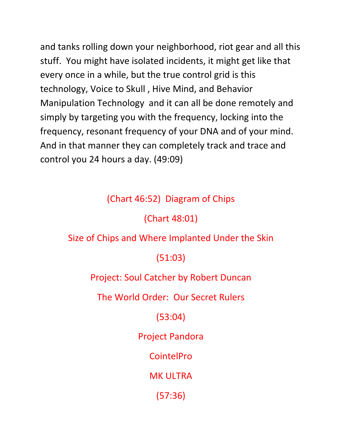and tanks rolling down your neighborhood, riot gear and all this stuff. You might have isolated incidents, it might get like that every once in a while, but the true control grid is this technology, Voice to Skull , Hive Mind, and Behavior Manipulation Technology and it can all be done remotely and simply by targeting you with the frequency, locking into the frequency, resonant frequency of your DNA and of your mind. And in that manner they can completely track and trace and control you 24 hours a day. (49:09)

### (Chart 46:52) Diagram of Chips

(Chart 48:01)

#### Size of Chips and Where Implanted Under the Skin

#### (51:03)

#### Project: Soul Catcher by Robert Duncan

The World Order: Our Secret Rulers

### (53:04)

Project Pandora

CointelPro

MK ULTRA

(57:36)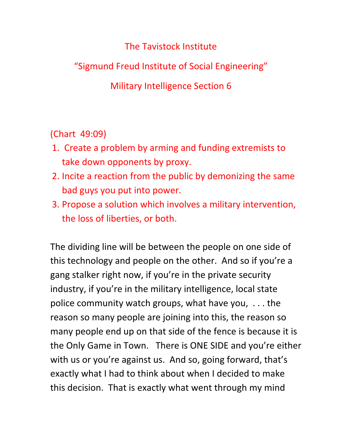The Tavistock Institute

"Sigmund Freud Institute of Social Engineering"

Military Intelligence Section 6

(Chart 49:09)

- 1. Create a problem by arming and funding extremists to take down opponents by proxy.
- 2. Incite a reaction from the public by demonizing the same bad guys you put into power.
- 3. Propose a solution which involves a military intervention, the loss of liberties, or both.

The dividing line will be between the people on one side of this technology and people on the other. And so if you're a gang stalker right now, if you're in the private security industry, if you're in the military intelligence, local state police community watch groups, what have you, . . . the reason so many people are joining into this, the reason so many people end up on that side of the fence is because it is the Only Game in Town. There is ONE SIDE and you're either with us or you're against us. And so, going forward, that's exactly what I had to think about when I decided to make this decision. That is exactly what went through my mind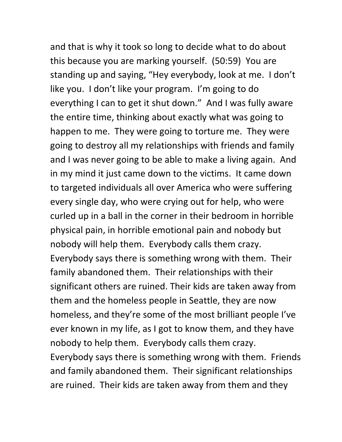and that is why it took so long to decide what to do about this because you are marking yourself. (50:59) You are standing up and saying, "Hey everybody, look at me. I don't like you. I don't like your program. I'm going to do everything I can to get it shut down." And I was fully aware the entire time, thinking about exactly what was going to happen to me. They were going to torture me. They were going to destroy all my relationships with friends and family and I was never going to be able to make a living again. And in my mind it just came down to the victims. It came down to targeted individuals all over America who were suffering every single day, who were crying out for help, who were curled up in a ball in the corner in their bedroom in horrible physical pain, in horrible emotional pain and nobody but nobody will help them. Everybody calls them crazy. Everybody says there is something wrong with them. Their family abandoned them. Their relationships with their significant others are ruined. Their kids are taken away from them and the homeless people in Seattle, they are now homeless, and they're some of the most brilliant people I've ever known in my life, as I got to know them, and they have nobody to help them. Everybody calls them crazy. Everybody says there is something wrong with them. Friends and family abandoned them. Their significant relationships are ruined. Their kids are taken away from them and they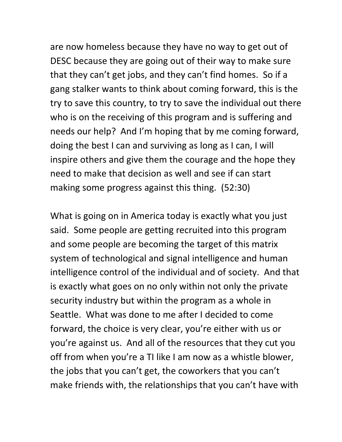are now homeless because they have no way to get out of DESC because they are going out of their way to make sure that they can't get jobs, and they can't find homes. So if a gang stalker wants to think about coming forward, this is the try to save this country, to try to save the individual out there who is on the receiving of this program and is suffering and needs our help? And I'm hoping that by me coming forward, doing the best I can and surviving as long as I can, I will inspire others and give them the courage and the hope they need to make that decision as well and see if can start making some progress against this thing. (52:30)

What is going on in America today is exactly what you just said. Some people are getting recruited into this program and some people are becoming the target of this matrix system of technological and signal intelligence and human intelligence control of the individual and of society. And that is exactly what goes on no only within not only the private security industry but within the program as a whole in Seattle. What was done to me after I decided to come forward, the choice is very clear, you're either with us or you're against us. And all of the resources that they cut you off from when you're a TI like I am now as a whistle blower, the jobs that you can't get, the coworkers that you can't make friends with, the relationships that you can't have with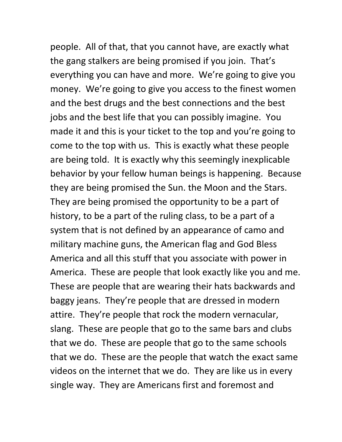people. All of that, that you cannot have, are exactly what the gang stalkers are being promised if you join. That's everything you can have and more. We're going to give you money. We're going to give you access to the finest women and the best drugs and the best connections and the best jobs and the best life that you can possibly imagine. You made it and this is your ticket to the top and you're going to come to the top with us. This is exactly what these people are being told. It is exactly why this seemingly inexplicable behavior by your fellow human beings is happening. Because they are being promised the Sun. the Moon and the Stars. They are being promised the opportunity to be a part of history, to be a part of the ruling class, to be a part of a system that is not defined by an appearance of camo and military machine guns, the American flag and God Bless America and all this stuff that you associate with power in America. These are people that look exactly like you and me. These are people that are wearing their hats backwards and baggy jeans. They're people that are dressed in modern attire. They're people that rock the modern vernacular, slang. These are people that go to the same bars and clubs that we do. These are people that go to the same schools that we do. These are the people that watch the exact same videos on the internet that we do. They are like us in every single way. They are Americans first and foremost and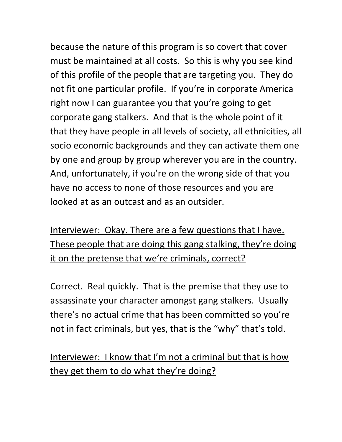because the nature of this program is so covert that cover must be maintained at all costs. So this is why you see kind of this profile of the people that are targeting you. They do not fit one particular profile. If you're in corporate America right now I can guarantee you that you're going to get corporate gang stalkers. And that is the whole point of it that they have people in all levels of society, all ethnicities, all socio economic backgrounds and they can activate them one by one and group by group wherever you are in the country. And, unfortunately, if you're on the wrong side of that you have no access to none of those resources and you are looked at as an outcast and as an outsider.

Interviewer: Okay. There are a few questions that I have. These people that are doing this gang stalking, they're doing it on the pretense that we're criminals, correct?

Correct. Real quickly. That is the premise that they use to assassinate your character amongst gang stalkers. Usually there's no actual crime that has been committed so you're not in fact criminals, but yes, that is the "why" that's told.

Interviewer: I know that I'm not a criminal but that is how they get them to do what they're doing?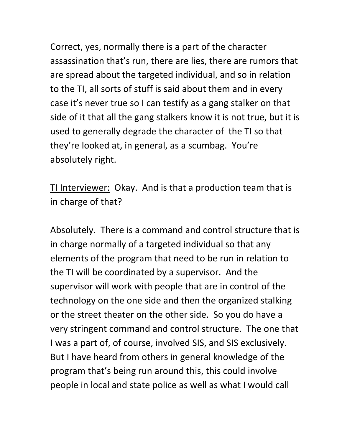Correct, yes, normally there is a part of the character assassination that's run, there are lies, there are rumors that are spread about the targeted individual, and so in relation to the TI, all sorts of stuff is said about them and in every case it's never true so I can testify as a gang stalker on that side of it that all the gang stalkers know it is not true, but it is used to generally degrade the character of the TI so that they're looked at, in general, as a scumbag. You're absolutely right.

TI Interviewer: Okay. And is that a production team that is in charge of that?

Absolutely. There is a command and control structure that is in charge normally of a targeted individual so that any elements of the program that need to be run in relation to the TI will be coordinated by a supervisor. And the supervisor will work with people that are in control of the technology on the one side and then the organized stalking or the street theater on the other side. So you do have a very stringent command and control structure. The one that I was a part of, of course, involved SIS, and SIS exclusively. But I have heard from others in general knowledge of the program that's being run around this, this could involve people in local and state police as well as what I would call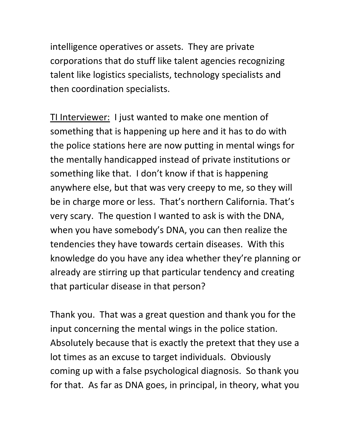intelligence operatives or assets. They are private corporations that do stuff like talent agencies recognizing talent like logistics specialists, technology specialists and then coordination specialists.

TI Interviewer: I just wanted to make one mention of something that is happening up here and it has to do with the police stations here are now putting in mental wings for the mentally handicapped instead of private institutions or something like that. I don't know if that is happening anywhere else, but that was very creepy to me, so they will be in charge more or less. That's northern California. That's very scary. The question I wanted to ask is with the DNA, when you have somebody's DNA, you can then realize the tendencies they have towards certain diseases. With this knowledge do you have any idea whether they're planning or already are stirring up that particular tendency and creating that particular disease in that person?

Thank you. That was a great question and thank you for the input concerning the mental wings in the police station. Absolutely because that is exactly the pretext that they use a lot times as an excuse to target individuals. Obviously coming up with a false psychological diagnosis. So thank you for that. As far as DNA goes, in principal, in theory, what you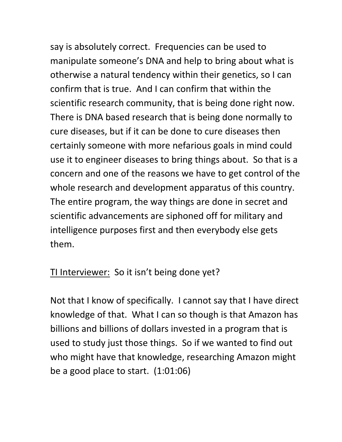say is absolutely correct. Frequencies can be used to manipulate someone's DNA and help to bring about what is otherwise a natural tendency within their genetics, so I can confirm that is true. And I can confirm that within the scientific research community, that is being done right now. There is DNA based research that is being done normally to cure diseases, but if it can be done to cure diseases then certainly someone with more nefarious goals in mind could use it to engineer diseases to bring things about. So that is a concern and one of the reasons we have to get control of the whole research and development apparatus of this country. The entire program, the way things are done in secret and scientific advancements are siphoned off for military and intelligence purposes first and then everybody else gets them.

TI Interviewer: So it isn't being done yet?

Not that I know of specifically. I cannot say that I have direct knowledge of that. What I can so though is that Amazon has billions and billions of dollars invested in a program that is used to study just those things. So if we wanted to find out who might have that knowledge, researching Amazon might be a good place to start. (1:01:06)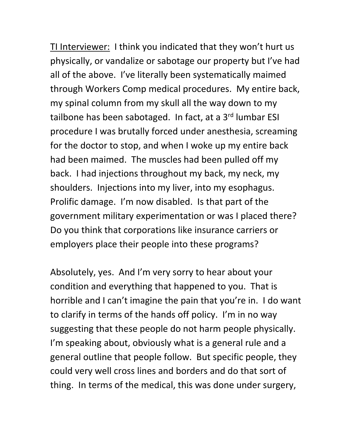TI Interviewer: I think you indicated that they won't hurt us physically, or vandalize or sabotage our property but I've had all of the above. I've literally been systematically maimed through Workers Comp medical procedures. My entire back, my spinal column from my skull all the way down to my tailbone has been sabotaged. In fact, at a 3<sup>rd</sup> lumbar ESI procedure I was brutally forced under anesthesia, screaming for the doctor to stop, and when I woke up my entire back had been maimed. The muscles had been pulled off my back. I had injections throughout my back, my neck, my shoulders. Injections into my liver, into my esophagus. Prolific damage. I'm now disabled. Is that part of the government military experimentation or was I placed there? Do you think that corporations like insurance carriers or employers place their people into these programs?

Absolutely, yes. And I'm very sorry to hear about your condition and everything that happened to you. That is horrible and I can't imagine the pain that you're in. I do want to clarify in terms of the hands off policy. I'm in no way suggesting that these people do not harm people physically. I'm speaking about, obviously what is a general rule and a general outline that people follow. But specific people, they could very well cross lines and borders and do that sort of thing. In terms of the medical, this was done under surgery,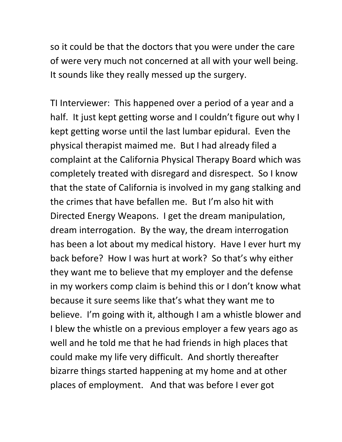so it could be that the doctors that you were under the care of were very much not concerned at all with your well being. It sounds like they really messed up the surgery.

TI Interviewer: This happened over a period of a year and a half. It just kept getting worse and I couldn't figure out why I kept getting worse until the last lumbar epidural. Even the physical therapist maimed me. But I had already filed a complaint at the California Physical Therapy Board which was completely treated with disregard and disrespect. So I know that the state of California is involved in my gang stalking and the crimes that have befallen me. But I'm also hit with Directed Energy Weapons. I get the dream manipulation, dream interrogation. By the way, the dream interrogation has been a lot about my medical history. Have I ever hurt my back before? How I was hurt at work? So that's why either they want me to believe that my employer and the defense in my workers comp claim is behind this or I don't know what because it sure seems like that's what they want me to believe. I'm going with it, although I am a whistle blower and I blew the whistle on a previous employer a few years ago as well and he told me that he had friends in high places that could make my life very difficult. And shortly thereafter bizarre things started happening at my home and at other places of employment. And that was before I ever got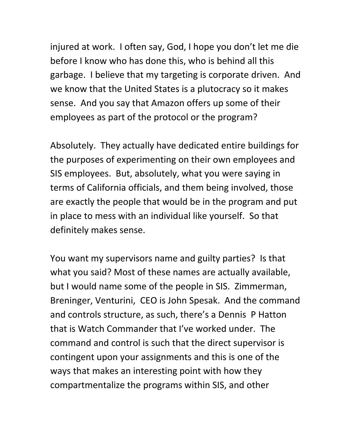injured at work. I often say, God, I hope you don't let me die before I know who has done this, who is behind all this garbage. I believe that my targeting is corporate driven. And we know that the United States is a plutocracy so it makes sense. And you say that Amazon offers up some of their employees as part of the protocol or the program?

Absolutely. They actually have dedicated entire buildings for the purposes of experimenting on their own employees and SIS employees. But, absolutely, what you were saying in terms of California officials, and them being involved, those are exactly the people that would be in the program and put in place to mess with an individual like yourself. So that definitely makes sense.

You want my supervisors name and guilty parties? Is that what you said? Most of these names are actually available, but I would name some of the people in SIS. Zimmerman, Breninger, Venturini, CEO is John Spesak. And the command and controls structure, as such, there's a Dennis P Hatton that is Watch Commander that I've worked under. The command and control is such that the direct supervisor is contingent upon your assignments and this is one of the ways that makes an interesting point with how they compartmentalize the programs within SIS, and other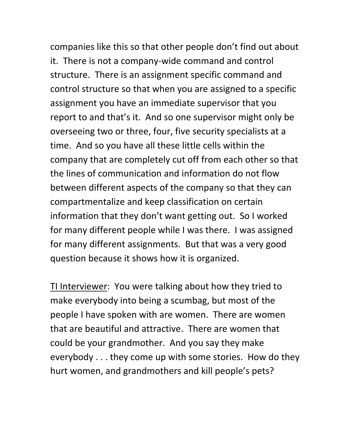companies like this so that other people don't find out about it. There is not a company-wide command and control structure. There is an assignment specific command and control structure so that when you are assigned to a specific assignment you have an immediate supervisor that you report to and that's it. And so one supervisor might only be overseeing two or three, four, five security specialists at a time. And so you have all these little cells within the company that are completely cut off from each other so that the lines of communication and information do not flow between different aspects of the company so that they can compartmentalize and keep classification on certain information that they don't want getting out. So I worked for many different people while I was there. I was assigned for many different assignments. But that was a very good question because it shows how it is organized.

TI Interviewer: You were talking about how they tried to make everybody into being a scumbag, but most of the people I have spoken with are women. There are women that are beautiful and attractive. There are women that could be your grandmother. And you say they make everybody . . . they come up with some stories. How do they hurt women, and grandmothers and kill people's pets?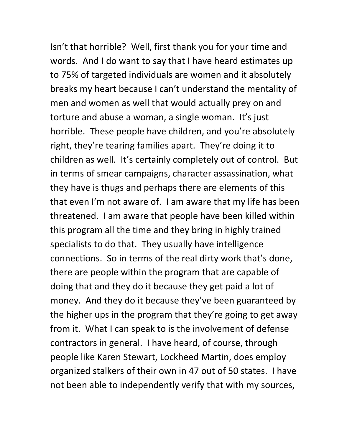Isn't that horrible? Well, first thank you for your time and words. And I do want to say that I have heard estimates up to 75% of targeted individuals are women and it absolutely breaks my heart because I can't understand the mentality of men and women as well that would actually prey on and torture and abuse a woman, a single woman. It's just horrible. These people have children, and you're absolutely right, they're tearing families apart. They're doing it to children as well. It's certainly completely out of control. But in terms of smear campaigns, character assassination, what they have is thugs and perhaps there are elements of this that even I'm not aware of. I am aware that my life has been threatened. I am aware that people have been killed within this program all the time and they bring in highly trained specialists to do that. They usually have intelligence connections. So in terms of the real dirty work that's done, there are people within the program that are capable of doing that and they do it because they get paid a lot of money. And they do it because they've been guaranteed by the higher ups in the program that they're going to get away from it. What I can speak to is the involvement of defense contractors in general. I have heard, of course, through people like Karen Stewart, Lockheed Martin, does employ organized stalkers of their own in 47 out of 50 states. I have not been able to independently verify that with my sources,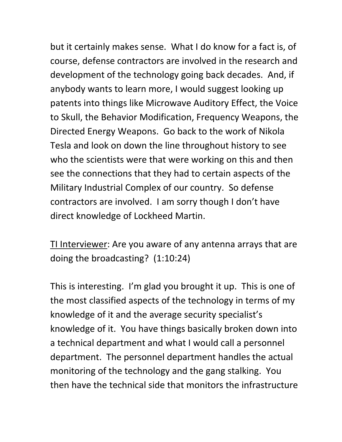but it certainly makes sense. What I do know for a fact is, of course, defense contractors are involved in the research and development of the technology going back decades. And, if anybody wants to learn more, I would suggest looking up patents into things like Microwave Auditory Effect, the Voice to Skull, the Behavior Modification, Frequency Weapons, the Directed Energy Weapons. Go back to the work of Nikola Tesla and look on down the line throughout history to see who the scientists were that were working on this and then see the connections that they had to certain aspects of the Military Industrial Complex of our country. So defense contractors are involved. I am sorry though I don't have direct knowledge of Lockheed Martin.

TI Interviewer: Are you aware of any antenna arrays that are doing the broadcasting? (1:10:24)

This is interesting. I'm glad you brought it up. This is one of the most classified aspects of the technology in terms of my knowledge of it and the average security specialist's knowledge of it. You have things basically broken down into a technical department and what I would call a personnel department. The personnel department handles the actual monitoring of the technology and the gang stalking. You then have the technical side that monitors the infrastructure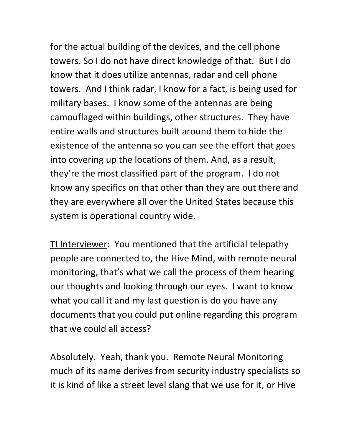for the actual building of the devices, and the cell phone towers. So I do not have direct knowledge of that. But I do know that it does utilize antennas, radar and cell phone towers. And I think radar, I know for a fact, is being used for military bases. I know some of the antennas are being camouflaged within buildings, other structures. They have entire walls and structures built around them to hide the existence of the antenna so you can see the effort that goes into covering up the locations of them. And, as a result, they're the most classified part of the program. I do not know any specifics on that other than they are out there and they are everywhere all over the United States because this system is operational country wide.

TI Interviewer: You mentioned that the artificial telepathy people are connected to, the Hive Mind, with remote neural monitoring, that's what we call the process of them hearing our thoughts and looking through our eyes. I want to know what you call it and my last question is do you have any documents that you could put online regarding this program that we could all access?

Absolutely. Yeah, thank you. Remote Neural Monitoring much of its name derives from security industry specialists so it is kind of like a street level slang that we use for it, or Hive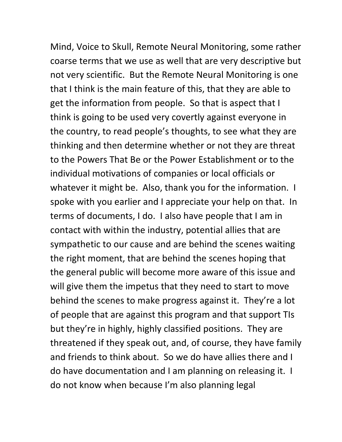Mind, Voice to Skull, Remote Neural Monitoring, some rather coarse terms that we use as well that are very descriptive but not very scientific. But the Remote Neural Monitoring is one that I think is the main feature of this, that they are able to get the information from people. So that is aspect that I think is going to be used very covertly against everyone in the country, to read people's thoughts, to see what they are thinking and then determine whether or not they are threat to the Powers That Be or the Power Establishment or to the individual motivations of companies or local officials or whatever it might be. Also, thank you for the information. I spoke with you earlier and I appreciate your help on that. In terms of documents, I do. I also have people that I am in contact with within the industry, potential allies that are sympathetic to our cause and are behind the scenes waiting the right moment, that are behind the scenes hoping that the general public will become more aware of this issue and will give them the impetus that they need to start to move behind the scenes to make progress against it. They're a lot of people that are against this program and that support TIs but they're in highly, highly classified positions. They are threatened if they speak out, and, of course, they have family and friends to think about. So we do have allies there and I do have documentation and I am planning on releasing it. I do not know when because I'm also planning legal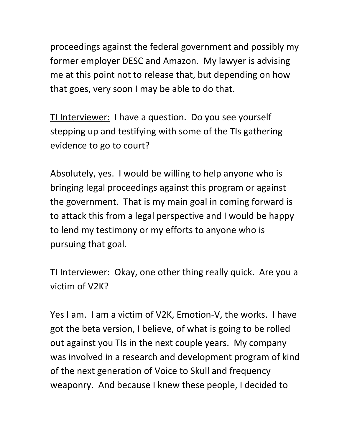proceedings against the federal government and possibly my former employer DESC and Amazon. My lawyer is advising me at this point not to release that, but depending on how that goes, very soon I may be able to do that.

TI Interviewer: I have a question. Do you see yourself stepping up and testifying with some of the TIs gathering evidence to go to court?

Absolutely, yes. I would be willing to help anyone who is bringing legal proceedings against this program or against the government. That is my main goal in coming forward is to attack this from a legal perspective and I would be happy to lend my testimony or my efforts to anyone who is pursuing that goal.

TI Interviewer: Okay, one other thing really quick. Are you a victim of V2K?

Yes I am. I am a victim of V2K, Emotion-V, the works. I have got the beta version, I believe, of what is going to be rolled out against you TIs in the next couple years. My company was involved in a research and development program of kind of the next generation of Voice to Skull and frequency weaponry. And because I knew these people, I decided to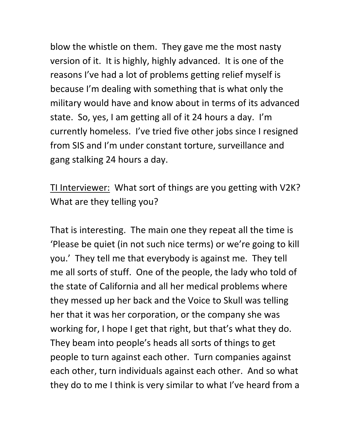blow the whistle on them. They gave me the most nasty version of it. It is highly, highly advanced. It is one of the reasons I've had a lot of problems getting relief myself is because I'm dealing with something that is what only the military would have and know about in terms of its advanced state. So, yes, I am getting all of it 24 hours a day. I'm currently homeless. I've tried five other jobs since I resigned from SIS and I'm under constant torture, surveillance and gang stalking 24 hours a day.

TI Interviewer: What sort of things are you getting with V2K? What are they telling you?

That is interesting. The main one they repeat all the time is 'Please be quiet (in not such nice terms) or we're going to kill you.' They tell me that everybody is against me. They tell me all sorts of stuff. One of the people, the lady who told of the state of California and all her medical problems where they messed up her back and the Voice to Skull was telling her that it was her corporation, or the company she was working for, I hope I get that right, but that's what they do. They beam into people's heads all sorts of things to get people to turn against each other. Turn companies against each other, turn individuals against each other. And so what they do to me I think is very similar to what I've heard from a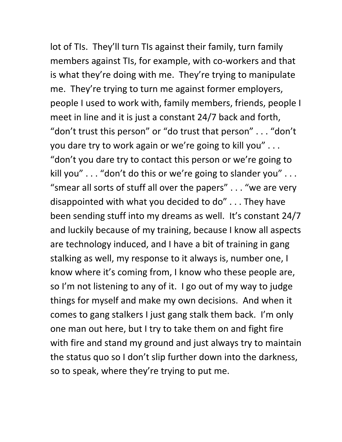lot of TIs. They'll turn TIs against their family, turn family members against TIs, for example, with co-workers and that is what they're doing with me. They're trying to manipulate me. They're trying to turn me against former employers, people I used to work with, family members, friends, people I meet in line and it is just a constant 24/7 back and forth, "don't trust this person" or "do trust that person" . . . "don't you dare try to work again or we're going to kill you" . . . "don't you dare try to contact this person or we're going to kill you" . . . "don't do this or we're going to slander you" . . . "smear all sorts of stuff all over the papers" . . . "we are very disappointed with what you decided to do" . . . They have been sending stuff into my dreams as well. It's constant 24/7 and luckily because of my training, because I know all aspects are technology induced, and I have a bit of training in gang stalking as well, my response to it always is, number one, I know where it's coming from, I know who these people are, so I'm not listening to any of it. I go out of my way to judge things for myself and make my own decisions. And when it comes to gang stalkers I just gang stalk them back. I'm only one man out here, but I try to take them on and fight fire with fire and stand my ground and just always try to maintain the status quo so I don't slip further down into the darkness, so to speak, where they're trying to put me.